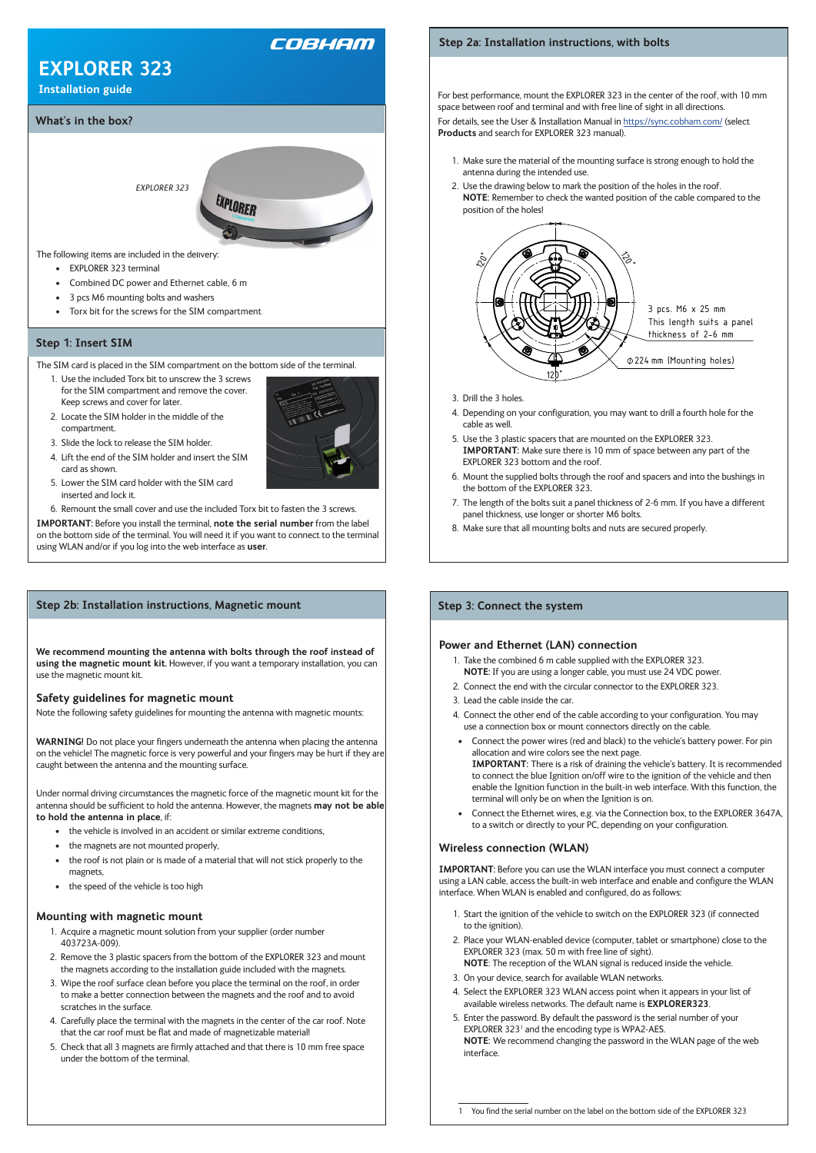

# COBHAM

# **EXPLORER 323**

**Installation guide**

#### **Power and Ethernet (LAN) connection**

- 1. Take the combined 6 m cable supplied with the EXPLORER 323. **NOTE:** If you are using a longer cable, you must use 24 VDC power.
- 2. Connect the end with the circular connector to the EXPLORER 323.
- 3. Lead the cable inside the car.
- 4. Connect the other end of the cable according to your configuration. You may use a connection box or mount connectors directly on the cable.
- Connect the power wires (red and black) to the vehicle's battery power. For pin allocation and wire colors see the next page. **IMPORTANT:** There is a risk of draining the vehicle's battery. It is recommended to connect the blue Ignition on/off wire to the ignition of the vehicle and then enable the Ignition function in the built-in web interface. With this function, the terminal will only be on when the Ignition is on.
- Connect the Ethernet wires, e.g. via the Connection box, to the EXPLORER 3647A, to a switch or directly to your PC, depending on your configuration.

## **Wireless connection (WLAN)**

**IMPORTANT:** Before you can use the WLAN interface you must connect a computer

using a LAN cable, access the built-in web interface and enable and configure the WLAN interface. When WLAN is enabled and configured, do as follows:

- 1. Start the ignition of the vehicle to switch on the EXPLORER 323 (if connected to the ignition).
- 2. Place your WLAN-enabled device (computer, tablet or smartphone) close to the EXPLORER 323 (max. 50 m with free line of sight). **NOTE**: The reception of the WLAN signal is reduced inside the vehicle.
- 3. On your device, search for available WLAN networks.
- 4. Select the EXPLORER 323 WLAN access point when it appears in your list of available wireless networks. The default name is **EXPLORER323**.
- 5. Enter the password. By default the password is the serial number of your EXPLORER 323<sup>1</sup> and the encoding type is WPA2-AES. **NOTE:** We recommend changing the password in the WLAN page of the web interface.

1 You find the serial number on the label on the bottom side of the EXPLORER 323

## **Step 3: Connect the system**

For best performance, mount the EXPLORER 323 in the center of the roof, with 10 mm space between roof and terminal and with free line of sight in all directions.

For details, see the User & Installation Manual in https://sync.cobham.com/ (select **Products** and search for EXPLORER 323 manual).

- 1. Make sure the material of the mounting surface is strong enough to hold the antenna during the intended use.
- 2. Use the drawing below to mark the position of the holes in the roof. **NOTE:** Remember to check the wanted position of the cable compared to the position of the holes!



- 3. Drill the 3 holes.
- 4. Depending on your configuration, you may want to drill a fourth hole for the cable as well.
- **IMPORTANT:** Make sure there is 10 mm of space between any part of the EXPI ORFR 323 bottom and the roof 5. Use the 3 plastic spacers that are mounted on the EXPLORER 323. EXPLORER 323 bottom and the roof.
- 320 mm the bottom of the EXPLORER 323**.** the bottom of the EXPLORER 323.<br>10 The length of the bolts suit a panel thickness of 2-6 mm. If you have a different 6. Mount the supplied bolts through the roof and spacers and into the bushings in
- panel thickness, use longer or shorter M6 bolts.
- 8. Make sure that all mounting bolts and nuts are secured properly.

# **Step 2a: Installation instructions, with bolts**

**We recommend mounting the antenna with bolts through the roof instead of using the magnetic mount kit.** However, if you want a temporary installation, you can use the magnetic mount kit.

#### **Safety guidelines for magnetic mount**

Note the following safety guidelines for mounting the antenna with magnetic mounts:

**WARNING!** Do not place your fingers underneath the antenna when placing the antenna on the vehicle! The magnetic force is very powerful and your fingers may be hurt if they are caught between the antenna and the mounting surface.

Under normal driving circumstances the magnetic force of the magnetic mount kit for the antenna should be sufficient to hold the antenna. However, the magnets **may not be able to hold the antenna in place**, if:

- the vehicle is involved in an accident or similar extreme conditions,
- the magnets are not mounted properly,
- the roof is not plain or is made of a material that will not stick properly to the

- magnets,
- the speed of the vehicle is too high

#### **Mounting with magnetic mount**

- 1. Acquire a magnetic mount solution from your supplier (order number 403723A-009).
- 2. Remove the 3 plastic spacers from the bottom of the EXPLORER 323 and mount the magnets according to the installation guide included with the magnets.
- 3. Wipe the roof surface clean before you place the terminal on the roof, in order to make a better connection between the magnets and the roof and to avoid scratches in the surface.
- 4. Carefully place the terminal with the magnets in the center of the car roof. Note that the car roof must be flat and made of magnetizable material!
- 5. Check that all 3 magnets are firmly attached and that there is 10 mm free space under the bottom of the terminal.

The SIM card is placed in the SIM compartment on the bottom side of the terminal.

- 1. Use the included Torx bit to unscrew the 3 screws for the SIM compartment and remove the cover. Keep screws and cover for later.
- 2. Locate the SIM holder in the middle of the compartment.



- 3. Slide the lock to release the SIM holder.
- 4. Lift the end of the SIM holder and insert the SIM card as shown.
- 5. Lower the SIM card holder with the SIM card inserted and lock it.
- 6. Remount the small cover and use the included Torx bit to fasten the 3 screws.

**IMPORTANT:** Before you install the terminal, **note the serial number** from the label on the bottom side of the terminal. You will need it if you want to connect to the terminal using WLAN and/or if you log into the web interface as **user**.

#### **Step 1: Insert SIM**

#### **Step 2b: Installation instructions, Magnetic mount**